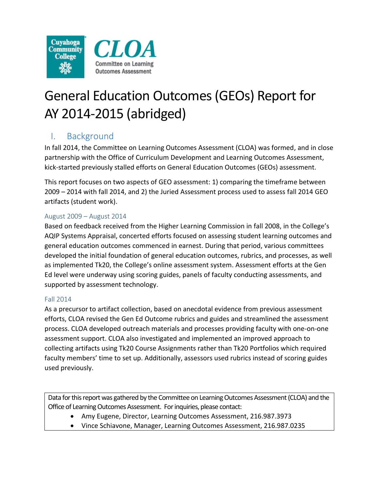



# General Education Outcomes (GEOs) Report for AY 2014-2015 (abridged)

## I. Background

In fall 2014, the Committee on Learning Outcomes Assessment (CLOA) was formed, and in close partnership with the Office of Curriculum Development and Learning Outcomes Assessment, kick-started previously stalled efforts on General Education Outcomes (GEOs) assessment.

This report focuses on two aspects of GEO assessment: 1) comparing the timeframe between 2009 – 2014 with fall 2014, and 2) the Juried Assessment process used to assess fall 2014 GEO artifacts (student work).

#### August 2009 – August 2014

Based on feedback received from the Higher Learning Commission in fall 2008, in the College's AQIP Systems Appraisal, concerted efforts focused on assessing student learning outcomes and general education outcomes commenced in earnest. During that period, various committees developed the initial foundation of general education outcomes, rubrics, and processes, as well as implemented Tk20, the College's online assessment system. Assessment efforts at the Gen Ed level were underway using scoring guides, panels of faculty conducting assessments, and supported by assessment technology.

#### Fall 2014

As a precursor to artifact collection, based on anecdotal evidence from previous assessment efforts, CLOA revised the Gen Ed Outcome rubrics and guides and streamlined the assessment process. CLOA developed outreach materials and processes providing faculty with one-on-one assessment support. CLOA also investigated and implemented an improved approach to collecting artifacts using Tk20 Course Assignments rather than Tk20 Portfolios which required faculty members' time to set up. Additionally, assessors used rubrics instead of scoring guides used previously.

Data for this report was gathered by the Committee on Learning Outcomes Assessment (CLOA) and the Office of Learning Outcomes Assessment. For inquiries, please contact:

- Amy Eugene, Director, Learning Outcomes Assessment, 216.987.3973
- Vince Schiavone, Manager, Learning Outcomes Assessment, 216.987.0235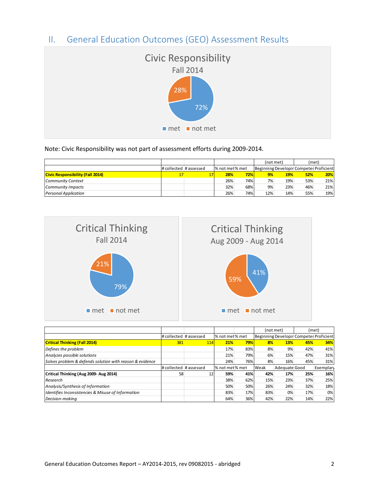### II. General Education Outcomes (GEO) Assessment Results



Note: Civic Responsibility was not part of assessment efforts during 2009-2014.

|                                         |                        |                |             | (not met) |            | (met)                                   |     |
|-----------------------------------------|------------------------|----------------|-------------|-----------|------------|-----------------------------------------|-----|
|                                         | # collected # assessed | % not met% met |             |           |            | Beginning Developir Competer Proficient |     |
| <b>Civic Responsibility (Fall 2014)</b> |                        | 28%            | <b>72%l</b> | 9%        | <b>19%</b> | 52%                                     | 20% |
| Community Context                       |                        | 26%            | 74%         | 7%        | 19%        | 53%                                     | 21% |
| <b>Community Impacts</b>                |                        | 32%            | 68%         | 9%        | 23%        | 46%                                     | 21% |
| <b>Personal Application</b>             |                        | 26%            | 74%         | 12%       | 14%        | 55%                                     | 19% |



|                                                          |                        |     |                |     | (not met) |               |     | (met)                                   |
|----------------------------------------------------------|------------------------|-----|----------------|-----|-----------|---------------|-----|-----------------------------------------|
|                                                          | # collected # assessed |     | % not met% met |     |           |               |     | Beginning Developir Competer Proficient |
| <b>Critical Thinking (Fall 2014)</b>                     | 381                    | 114 | 21%            | 79% | 8%        | <b>13%</b>    | 45% | 34%                                     |
| Defines the problem                                      |                        |     | 17%            | 83% | 8%        | 9%            | 42% | 41%                                     |
| Analyzes possible solutions                              |                        |     | 21%            | 79% | 6%        | 15%           | 47% | 31%                                     |
| Solves problem & defends solution with reason & evidence |                        |     | 24%            | 76% | 8%        | 16%           | 45% | 31%                                     |
|                                                          | # collected # assessed |     | % not met% met |     | Weak      | Adequate Good |     | Exemplar                                |
| Critical Thinking (Aug 2009- Aug 2014)                   | 58                     | 12  | 59%            | 41% | 42%       | 17%           | 25% | 16%                                     |
| Research                                                 |                        |     | 38%            | 62% | 15%       | 23%           | 37% | 25%                                     |
| Analysis/Synthesis of Information                        |                        |     | 50%            | 50% | 26%       | 24%           | 32% | 18%                                     |
| Identifies Inconsistencies & Misuse of Information       |                        |     | 83%            | 17% | 83%       | 0%            | 17% | 0%                                      |
| Decision-makina                                          |                        |     | 64%            | 36% | 42%       | 22%           | 14% | 22%                                     |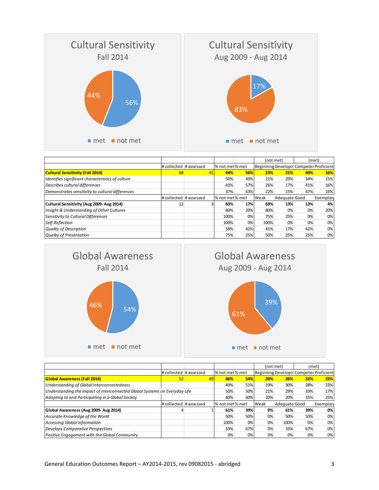

|                                                   |                        |    |                |     | (not met) |               | (met) |                                         |
|---------------------------------------------------|------------------------|----|----------------|-----|-----------|---------------|-------|-----------------------------------------|
|                                                   | # collected # assessed |    | % not met% met |     |           |               |       | Beginning Developir Competer Proficient |
| <b>Cultural Sensitivity (Fall 2014)</b>           | 68                     | 41 | 44%            | 56% | 23%       | 21%           | 40%   | 16%                                     |
| Identifies significant characteristics of culture |                        |    | 50%            | 49% | 21%       | 29%           | 34%   | 15%                                     |
| Describes cultural differences                    |                        |    | 43%            | 57% | 26%       | 17%           | 41%   | 16%                                     |
| Demonstrates sensitivity to cultural differences  |                        |    | 37%            | 63% | 22%       | 15%           | 47%   | 16%                                     |
|                                                   | # collected # assessed |    | % not met% met |     | Weak      | Adequate Good |       | Exemplary                               |
| Cultural Sensitivity (Aug 2009- Aug 2014)         | 12                     |    | 83%            | 17% | 69%       | 13%           | 13%   | 4%                                      |
| Insight & Understanding of Other Cultures         |                        |    | 80%            | 20% | 80%       | 0%            | 0%    | 20%                                     |
| Sensitivity to Cultural Differences               |                        |    | 100%           | 0%  | 75%       | 25%           | 0%    | 0%                                      |
| Self-Reflection                                   |                        |    | 100%           | 0%  | 100%      | 0%            | 0%    | 0%                                      |
| <b>Quality of Description</b>                     |                        |    | 58%            | 42% | 41%       | 17%           | 42%   | 0%                                      |
| <b>Quality of Presentation</b>                    |                        |    | 75%            | 25% | 50%       | 25%           | 25%   | 0%                                      |







|                                                                            |                              |    |                |     | (not met) |               | (met) |                                         |
|----------------------------------------------------------------------------|------------------------------|----|----------------|-----|-----------|---------------|-------|-----------------------------------------|
|                                                                            | $\#$ collected $\#$ assessed |    | % not met% met |     |           |               |       | Beginning Developir Competer Proficient |
| <b>Global Awareness (Fall 2014)</b>                                        | 52                           | 49 | 46%            | 54% | 20%       | 26%           | 32%   | 22%                                     |
| Understanding of Global Interconnectedness                                 |                              |    | 49%            | 51% | 19%       | 30%           | 28%   | 23%                                     |
| Understanding the impact of Interconnected Global Systems on Everyday Life |                              |    | 50%            | 50% | 21%       | 29%           | 33%   | 17%                                     |
| Adapting to and Participating in a Global Society                          |                              |    | 40%            | 60% | 20%       | 20%           | 35%   | 25%                                     |
|                                                                            | # collected # assessed       |    | % not met% met |     | Weak      | Adequate Good |       | Exemplar                                |
| Global Awareness (Aug 2009- Aug 2014)                                      |                              |    | 61%            | 39% | 0%        | 61%           | 39%   | 0%                                      |
| Accurate Knowledge of the World                                            |                              |    | 50%            | 50% | 0%        | 50%           | 50%   | 0%                                      |
| <b>Accessing Global Information</b>                                        |                              |    | 100%           | 0%  | 0%        | 100%          | 0%    | 0%                                      |
| <b>Develops Comparative Perspectives</b>                                   |                              |    | 33%            | 67% | 0%        | 33%           | 67%   | 0%                                      |
| Positive Engagement with the Global Community                              |                              |    | 0%             | 0%  | 0%        | 0%            | 0%    | 0%                                      |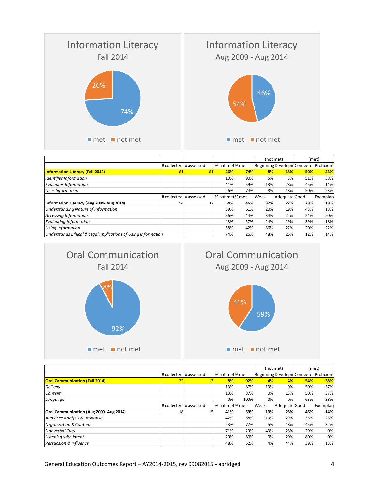

|                                                               |                        |    |                |            | (not met) |               | (met) |                                         |
|---------------------------------------------------------------|------------------------|----|----------------|------------|-----------|---------------|-------|-----------------------------------------|
|                                                               | # collected # assessed |    | % not met% met |            |           |               |       | Beginning Developir Competer Proficient |
| <b>Information Literacy (Fall 2014)</b>                       | 61                     | 61 | 26%            | <b>74%</b> | 8%        | <b>18%</b>    | 50%   | 23%                                     |
| Identifies Information                                        |                        |    | 10%            | 90%        | 5%        | 5%            | 51%   | 38%                                     |
| <b>Evaluates Information</b>                                  |                        |    | 41%            | 59%        | 13%       | 28%           | 45%   | 14%                                     |
| <b>Uses Information</b>                                       |                        |    | 26%            | 74%        | 8%        | 18%           | 50%   | 23%                                     |
|                                                               | # collected # assessed |    | % not met% met |            | Weak      | Adequate Good |       | Exemplary                               |
| Information Literacy (Aug 2009- Aug 2014)                     | 94                     | 32 | 54%            | 46%        | 32%       | 22%           | 28%   | 18%                                     |
| Understanding Nature of Information                           |                        |    | 39%            | 61%        | 20%       | 19%           | 43%   | 18%                                     |
| <b>Accessing Information</b>                                  |                        |    | 56%            | 44%        | 34%       | 22%           | 24%   | 20%                                     |
| <b>Evaluating Information</b>                                 |                        |    | 43%            | 57%        | 24%       | 19%           | 39%   | 18%                                     |
| <b>Using Information</b>                                      |                        |    | 58%            | 42%        | 36%       | 22%           | 20%   | 22%                                     |
| Understands Ethical & Legal Implications of Using Information |                        |    | 74%            | 26%        | 48%       | 26%           | 12%   | 14%                                     |







|                                         |                        |    |                |      | (not met) |               | (met) |                                         |
|-----------------------------------------|------------------------|----|----------------|------|-----------|---------------|-------|-----------------------------------------|
|                                         | # collected # assessed |    | % not met% met |      |           |               |       | Beginning Developir Competer Proficient |
| <b>Oral Communication (Fall 2014)</b>   | 22                     | 13 | 8%             | 92%  | 4%        | 4%            | 54%   | 38%                                     |
| <b>Delivery</b>                         |                        |    | 13%            | 87%  | 13%       | 0%            | 50%   | 37%                                     |
| Content                                 |                        |    | 13%            | 87%  | 0%        | 13%           | 50%   | 37%                                     |
| Language                                |                        |    | 0%             | 100% | 0%        | 0%            | 63%   | 38%                                     |
|                                         | # collected # assessed |    | % not met% met |      | Weak      | Adequate Good |       | Exemplary                               |
| Oral Communication (Aug 2009- Aug 2014) | 18                     | 15 | 41%            | 59%  | 13%       | 28%           | 46%   | 14%                                     |
| Audience Analysis & Response            |                        |    | 42%            | 58%  | 13%       | 29%           | 35%   | 23%                                     |
| <b>Organization &amp; Content</b>       |                        |    | 23%            | 77%  | 5%        | 18%           | 45%   | 32%                                     |
| <b>Nonverbal Cues</b>                   |                        |    | 71%            | 29%  | 43%       | 28%           | 29%   | 0%                                      |
| Listening with Intent                   |                        |    | 20%            | 80%  | 0%        | 20%           | 80%   | 0%                                      |
| Persuasion & Influence                  |                        |    | 48%            | 52%  | 4%        | 44%           | 39%   | 13%                                     |